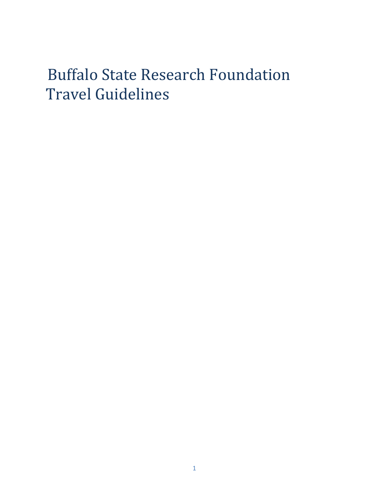# Buffalo State Research Foundation Travel Guidelines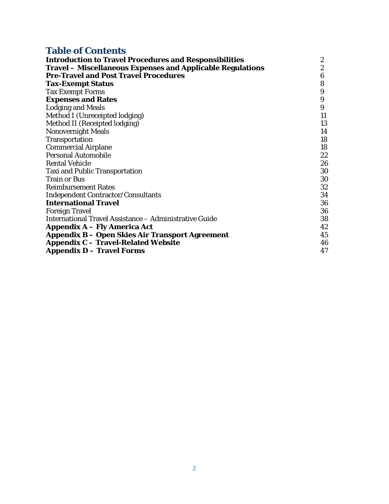# **Table of Contents**

| <b>Introduction to Travel Procedures and Responsibilities</b>     | $\boldsymbol{2}$ |
|-------------------------------------------------------------------|------------------|
| <b>Travel – Miscellaneous Expenses and Applicable Regulations</b> | 2                |
| <b>Pre-Travel and Post Travel Procedures</b>                      | 6                |
| <b>Tax-Exempt Status</b>                                          | 8                |
| <b>Tax Exempt Forms</b>                                           | 9                |
| <b>Expenses and Rates</b>                                         | 9                |
| <b>Lodging and Meals</b>                                          | 9                |
| Method I (Unreceipted lodging)                                    | 11               |
| Method II (Receipted lodging)                                     | 13               |
| <b>Nonovernight Meals</b>                                         | 14               |
| Transportation                                                    | 18               |
| <b>Commercial Airplane</b>                                        | 18               |
| <b>Personal Automobile</b>                                        | 22               |
| <b>Rental Vehicle</b>                                             | 26               |
| <b>Taxi and Public Transportation</b>                             | 30               |
| <b>Train or Bus</b>                                               | 30               |
| <b>Reimbursement Rates</b>                                        | 32               |
| <b>Independent Contractor/Consultants</b>                         | 34               |
| <b>International Travel</b>                                       | 36               |
| <b>Foreign Travel</b>                                             | 36               |
| International Travel Assistance - Administrative Guide            | 38               |
| <b>Appendix A – Fly America Act</b>                               | 42               |
| <b>Appendix B – Open Skies Air Transport Agreement</b>            | 45               |
| <b>Appendix C - Travel-Related Website</b>                        | 46               |
| <b>Appendix D - Travel Forms</b>                                  | 47               |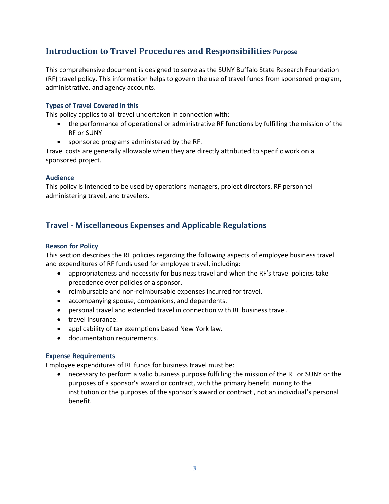# **Introduction to Travel Procedures and Responsibilities Purpose**

This comprehensive document is designed to serve as the SUNY Buffalo State Research Foundation (RF) travel policy. This information helps to govern the use of travel funds from sponsored program, administrative, and agency accounts.

# **Types of Travel Covered in this**

This policy applies to all travel undertaken in connection with:

- the performance of operational or administrative RF functions by fulfilling the mission of the RF or SUNY
- sponsored programs administered by the RF.

Travel costs are generally allowable when they are directly attributed to specific work on a sponsored project.

#### **Audience**

This policy is intended to be used by operations managers, project directors, RF personnel administering travel, and travelers.

# **Travel - Miscellaneous Expenses and Applicable Regulations**

#### **Reason for Policy**

This section describes the RF policies regarding the following aspects of employee business travel and expenditures of RF funds used for employee travel, including:

- appropriateness and necessity for business travel and when the RF's travel policies take precedence over policies of a sponsor.
- reimbursable and non-reimbursable expenses incurred for travel.
- accompanying spouse, companions, and dependents.
- personal travel and extended travel in connection with RF business travel.
- travel insurance.
- applicability of tax exemptions based New York law.
- documentation requirements.

#### **Expense Requirements**

Employee expenditures of RF funds for business travel must be:

• necessary to perform a valid business purpose fulfilling the mission of the RF or SUNY or the purposes of a sponsor's award or contract, with the primary benefit inuring to the institution or the purposes of the sponsor's award or contract , not an individual's personal benefit.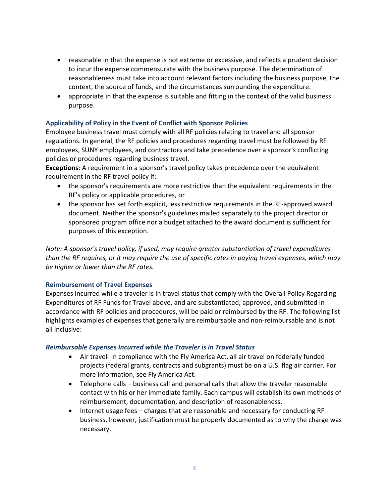- reasonable in that the expense is not extreme or excessive, and reflects a prudent decision to incur the expense commensurate with the business purpose. The determination of reasonableness must take into account relevant factors including the business purpose, the context, the source of funds, and the circumstances surrounding the expenditure.
- appropriate in that the expense is suitable and fitting in the context of the valid business purpose.

# **Applicability of Policy in the Event of Conflict with Sponsor Policies**

Employee business travel must comply with all RF policies relating to travel and all sponsor regulations. In general, the RF policies and procedures regarding travel must be followed by RF employees, SUNY employees, and contractors and take precedence over a sponsor's conflicting policies or procedures regarding business travel.

**Exceptions**: A requirement in a sponsor's travel policy takes precedence over the equivalent requirement in the RF travel policy if:

- the sponsor's requirements are more restrictive than the equivalent requirements in the RF's policy or applicable procedures, or
- the sponsor has set forth explicit, less restrictive requirements in the RF-approved award document. Neither the sponsor's guidelines mailed separately to the project director or sponsored program office nor a budget attached to the award document is sufficient for purposes of this exception.

*Note: A sponsor's travel policy, if used, may require greater substantiation of travel expenditures than the RF requires, or it may require the use of specific rates in paying travel expenses, which may be higher or lower than the RF rates.* 

#### **Reimbursement of Travel Expenses**

Expenses incurred while a traveler is in travel status that comply with the Overall Policy Regarding Expenditures of RF Funds for Travel above, and are substantiated, approved, and submitted in accordance with RF policies and procedures, will be paid or reimbursed by the RF. The following list highlights examples of expenses that generally are reimbursable and non-reimbursable and is not all inclusive:

#### *Reimbursable Expenses Incurred while the Traveler is in Travel Status*

- Air travel- In compliance with the Fly America Act, all air travel on federally funded projects (federal grants, contracts and subgrants) must be on a U.S. flag air carrier. For more information, see Fly America Act.
- Telephone calls business call and personal calls that allow the traveler reasonable contact with his or her immediate family. Each campus will establish its own methods of reimbursement, documentation, and description of reasonableness.
- Internet usage fees charges that are reasonable and necessary for conducting RF business, however, justification must be properly documented as to why the charge was necessary.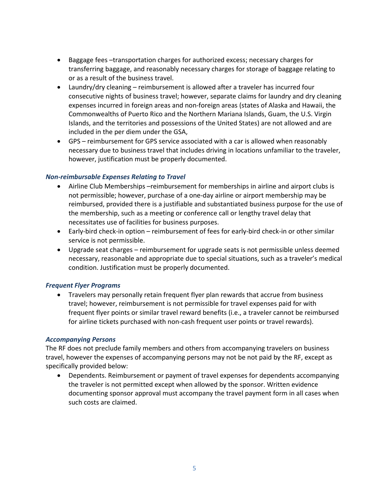- Baggage fees –transportation charges for authorized excess; necessary charges for transferring baggage, and reasonably necessary charges for storage of baggage relating to or as a result of the business travel.
- Laundry/dry cleaning reimbursement is allowed after a traveler has incurred four consecutive nights of business travel; however, separate claims for laundry and dry cleaning expenses incurred in foreign areas and non-foreign areas (states of Alaska and Hawaii, the Commonwealths of Puerto Rico and the Northern Mariana Islands, Guam, the U.S. Virgin Islands, and the territories and possessions of the United States) are not allowed and are included in the per diem under the GSA,
- GPS reimbursement for GPS service associated with a car is allowed when reasonably necessary due to business travel that includes driving in locations unfamiliar to the traveler, however, justification must be properly documented.

# *Non-reimbursable Expenses Relating to Travel*

- Airline Club Memberships –reimbursement for memberships in airline and airport clubs is not permissible; however, purchase of a one-day airline or airport membership may be reimbursed, provided there is a justifiable and substantiated business purpose for the use of the membership, such as a meeting or conference call or lengthy travel delay that necessitates use of facilities for business purposes.
- Early-bird check-in option reimbursement of fees for early-bird check-in or other similar service is not permissible.
- Upgrade seat charges reimbursement for upgrade seats is not permissible unless deemed necessary, reasonable and appropriate due to special situations, such as a traveler's medical condition. Justification must be properly documented.

# *Frequent Flyer Programs*

• Travelers may personally retain frequent flyer plan rewards that accrue from business travel; however, reimbursement is not permissible for travel expenses paid for with frequent flyer points or similar travel reward benefits (i.e., a traveler cannot be reimbursed for airline tickets purchased with non-cash frequent user points or travel rewards).

#### *Accompanying Persons*

The RF does not preclude family members and others from accompanying travelers on business travel, however the expenses of accompanying persons may not be not paid by the RF, except as specifically provided below:

• Dependents. Reimbursement or payment of travel expenses for dependents accompanying the traveler is not permitted except when allowed by the sponsor. Written evidence documenting sponsor approval must accompany the travel payment form in all cases when such costs are claimed.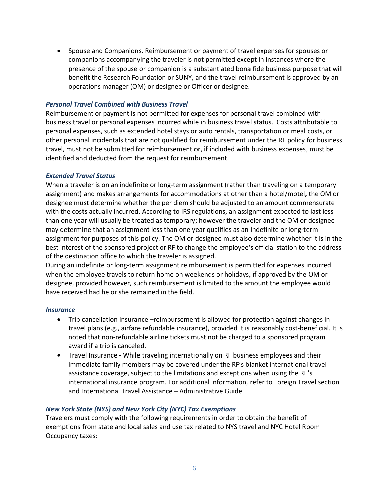• Spouse and Companions. Reimbursement or payment of travel expenses for spouses or companions accompanying the traveler is not permitted except in instances where the presence of the spouse or companion is a substantiated bona fide business purpose that will benefit the Research Foundation or SUNY, and the travel reimbursement is approved by an operations manager (OM) or designee or Officer or designee.

#### *Personal Travel Combined with Business Travel*

Reimbursement or payment is not permitted for expenses for personal travel combined with business travel or personal expenses incurred while in business travel status. Costs attributable to personal expenses, such as extended hotel stays or auto rentals, transportation or meal costs, or other personal incidentals that are not qualified for reimbursement under the RF policy for business travel, must not be submitted for reimbursement or, if included with business expenses, must be identified and deducted from the request for reimbursement.

#### *Extended Travel Status*

When a traveler is on an indefinite or long-term assignment (rather than traveling on a temporary assignment) and makes arrangements for accommodations at other than a hotel/motel, the OM or designee must determine whether the per diem should be adjusted to an amount commensurate with the costs actually incurred. According to IRS regulations, an assignment expected to last less than one year will usually be treated as temporary; however the traveler and the OM or designee may determine that an assignment less than one year qualifies as an indefinite or long-term assignment for purposes of this policy. The OM or designee must also determine whether it is in the best interest of the sponsored project or RF to change the employee's official station to the address of the destination office to which the traveler is assigned.

During an indefinite or long-term assignment reimbursement is permitted for expenses incurred when the employee travels to return home on weekends or holidays, if approved by the OM or designee, provided however, such reimbursement is limited to the amount the employee would have received had he or she remained in the field.

#### *Insurance*

- Trip cancellation insurance –reimbursement is allowed for protection against changes in travel plans (e.g., airfare refundable insurance), provided it is reasonably cost-beneficial. It is noted that non-refundable airline tickets must not be charged to a sponsored program award if a trip is canceled.
- Travel Insurance While traveling internationally on RF business employees and their immediate family members may be covered under the RF's blanket international travel assistance coverage, subject to the limitations and exceptions when using the RF's international insurance program. For additional information, refer to Foreign Travel section and International Travel Assistance – Administrative Guide.

#### *New York State (NYS) and New York City (NYC) Tax Exemptions*

Travelers must comply with the following requirements in order to obtain the benefit of exemptions from state and local sales and use tax related to NYS travel and NYC Hotel Room Occupancy taxes: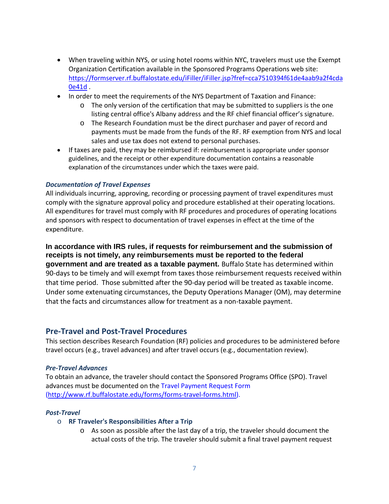- When traveling within NYS, or using hotel rooms within NYC, travelers must use the Exempt Organization Certification available in the Sponsored Programs Operations web site: [https://formserver.rf.buffalostate.edu/iFiller/iFiller.jsp?fref=cca7510394f61de4aab9a2f4cda](https://formserver.rf.buffalostate.edu/iFiller/iFiller.jsp?fref=cca7510394f61de4aab9a2f4cda0e41d) [0e41d](https://formserver.rf.buffalostate.edu/iFiller/iFiller.jsp?fref=cca7510394f61de4aab9a2f4cda0e41d) .
- In order to meet the requirements of the NYS Department of Taxation and Finance:
	- o The only version of the certification that may be submitted to suppliers is the one listing central office's Albany address and the RF chief financial officer's signature.
	- o The Research Foundation must be the direct purchaser and payer of record and payments must be made from the funds of the RF. RF exemption from NYS and local sales and use tax does not extend to personal purchases.
- If taxes are paid, they may be reimbursed if: reimbursement is appropriate under sponsor guidelines, and the receipt or other expenditure documentation contains a reasonable explanation of the circumstances under which the taxes were paid.

#### *Documentation of Travel Expenses*

All individuals incurring, approving, recording or processing payment of travel expenditures must comply with the signature approval policy and procedure established at their operating locations. All expenditures for travel must comply with RF procedures and procedures of operating locations and sponsors with respect to documentation of travel expenses in effect at the time of the expenditure.

**In accordance with IRS rules, if requests for reimbursement and the submission of receipts is not timely, any reimbursements must be reported to the federal government and are treated as a taxable payment.** Buffalo State has determined within 90-days to be timely and will exempt from taxes those reimbursement requests received within that time period. Those submitted after the 90-day period will be treated as taxable income. Under some extenuating circumstances, the Deputy Operations Manager (OM), may determine that the facts and circumstances allow for treatment as a non-taxable payment.

# **Pre-Travel and Post-Travel Procedures**

This section describes Research Foundation (RF) policies and procedures to be administered before travel occurs (e.g., travel advances) and after travel occurs (e.g., documentation review).

#### *Pre-Travel Advances*

To obtain an advance, the traveler should contact the Sponsored Programs Office (SPO). Travel advances must be documented on the Travel Payment Request Form [\(http://www.rf.buffalostate.edu/forms/forms-travel-forms.html\)](http://www.rf.buffalostate.edu/forms/forms-travel-forms.html).

#### *Post-Travel*

- o **RF Traveler's Responsibilities After a Trip** 
	- o As soon as possible after the last day of a trip, the traveler should document the actual costs of the trip. The traveler should submit a final travel payment request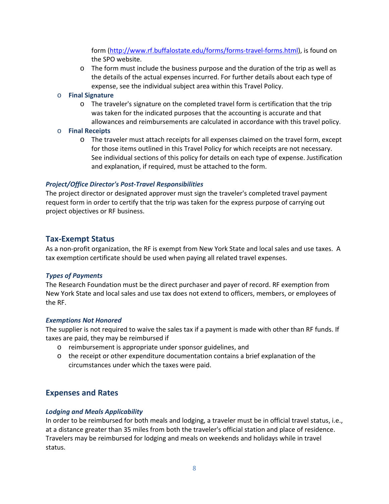form [\(http://www.rf.buffalostate.edu/forms/forms-travel-forms.html\)](http://www.rf.buffalostate.edu/forms/forms-travel-forms.html), is found on the SPO website.

 $\circ$  The form must include the business purpose and the duration of the trip as well as the details of the actual expenses incurred. For further details about each type of expense, see the individual subject area within this Travel Policy.

#### o **Final Signature**

o The traveler's signature on the completed travel form is certification that the trip was taken for the indicated purposes that the accounting is accurate and that allowances and reimbursements are calculated in accordance with this travel policy.

#### o **Final Receipts**

o The traveler must attach receipts for all expenses claimed on the travel form, except for those items outlined in this Travel Policy for which receipts are not necessary. See individual sections of this policy for details on each type of expense. Justification and explanation, if required, must be attached to the form.

# *Project/Office Director's Post-Travel Responsibilities*

The project director or designated approver must sign the traveler's completed travel payment request form in order to certify that the trip was taken for the express purpose of carrying out project objectives or RF business.

# **Tax-Exempt Status**

As a non-profit organization, the RF is exempt from New York State and local sales and use taxes. A tax exemption certificate should be used when paying all related travel expenses.

# *Types of Payments*

The Research Foundation must be the direct purchaser and payer of record. RF exemption from New York State and local sales and use tax does not extend to officers, members, or employees of the RF.

#### *Exemptions Not Honored*

The supplier is not required to waive the sales tax if a payment is made with other than RF funds. If taxes are paid, they may be reimbursed if

- o reimbursement is appropriate under sponsor guidelines, and
- $\circ$  the receipt or other expenditure documentation contains a brief explanation of the circumstances under which the taxes were paid.

# **Expenses and Rates**

# *Lodging and Meals Applicability*

In order to be reimbursed for both meals and lodging, a traveler must be in official travel status, i.e., at a distance greater than 35 miles from both the traveler's official station and place of residence. Travelers may be reimbursed for lodging and meals on weekends and holidays while in travel status.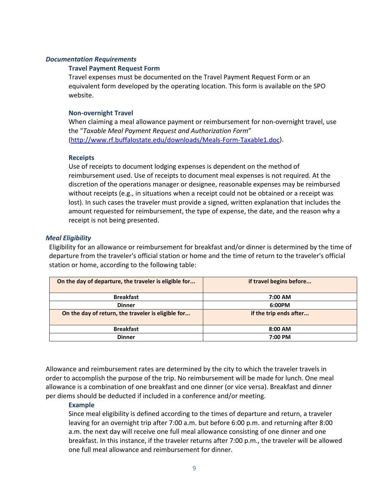#### *Documentation Requirements*

#### **Travel Payment Request Form**

Travel expenses must be documented on the Travel Payment Request Form or an equivalent form developed by the operating location. This form is available on the SPO website.

#### **Non-overnight Travel**

When claiming a meal allowance payment or reimbursement for non-overnight travel, use the "*Taxable Meal Payment Request and Authorization Form*" [\(http://www.rf.buffalostate.edu/downloads/Meals-Form-Taxable1.doc\)](http://www.rf.buffalostate.edu/downloads/Meals-Form-Taxable1.doc).

#### **Receipts**

Use of receipts to document lodging expenses is dependent on the method of reimbursement used. Use of receipts to document meal expenses is not required. At the discretion of the operations manager or designee, reasonable expenses may be reimbursed without receipts (e.g., in situations when a receipt could not be obtained or a receipt was lost). In such cases the traveler must provide a signed, written explanation that includes the amount requested for reimbursement, the type of expense, the date, and the reason why a receipt is not being presented.

#### *Meal Eligibility*

Eligibility for an allowance or reimbursement for breakfast and/or dinner is determined by the time of departure from the traveler's official station or home and the time of return to the traveler's official station or home, according to the following table:

| On the day of departure, the traveler is eligible for | if travel begins before |
|-------------------------------------------------------|-------------------------|
| <b>Breakfast</b>                                      | 7:00 AM                 |
| <b>Dinner</b>                                         | 6:00PM                  |
| On the day of return, the traveler is eligible for    | if the trip ends after  |
| <b>Breakfast</b>                                      | $8:00$ AM               |
| <b>Dinner</b>                                         | 7:00 PM                 |

Allowance and reimbursement rates are determined by the city to which the traveler travels in order to accomplish the purpose of the trip. No reimbursement will be made for lunch. One meal allowance is a combination of one breakfast and one dinner (or vice versa). Breakfast and dinner per diems should be deducted if included in a conference and/or meeting.

#### **Example**

Since meal eligibility is defined according to the times of departure and return, a traveler leaving for an overnight trip after 7:00 a.m. but before 6:00 p.m. and returning after 8:00 a.m. the next day will receive one full meal allowance consisting of one dinner and one breakfast. In this instance, if the traveler returns after 7:00 p.m., the traveler will be allowed one full meal allowance and reimbursement for dinner.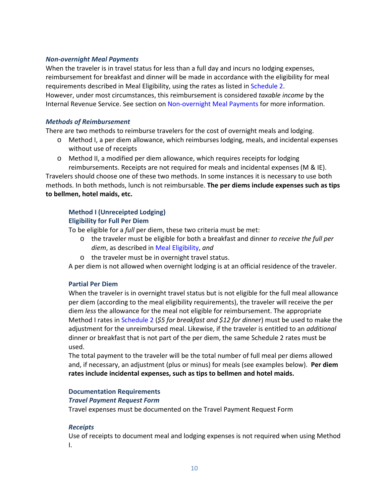#### *Non-overnight Meal Payments*

When the traveler is in travel status for less than a full day and incurs no lodging expenses, reimbursement for breakfast and dinner will be made in accordance with the eligibility for meal requirements described in Meal Eligibility, using the rates as listed in Schedule 2. However, under most circumstances, this reimbursement is considered *taxable income* by the Internal Revenue Service. See section on Non-overnight Meal Payments for more information.

#### *Methods of Reimbursement*

There are two methods to reimburse travelers for the cost of overnight meals and lodging.

- o Method I, a per diem allowance, which reimburses lodging, meals, and incidental expenses without use of receipts
- o Method II, a modified per diem allowance, which requires receipts for lodging reimbursements. Receipts are not required for meals and incidental expenses (M & IE).

Travelers should choose one of these two methods. In some instances it is necessary to use both methods. In both methods, lunch is not reimbursable. **The per diems include expenses such as tips to bellmen, hotel maids, etc.** 

#### **Method I (Unreceipted Lodging)**

#### **Eligibility for Full Per Diem**

To be eligible for a *full* per diem, these two criteria must be met:

- o the traveler must be eligible for both a breakfast and dinner *to receive the full per diem*, as described in Meal Eligibility, *and*
- o the traveler must be in overnight travel status.

A per diem is not allowed when overnight lodging is at an official residence of the traveler.

#### **Partial Per Diem**

When the traveler is in overnight travel status but is not eligible for the full meal allowance per diem (according to the meal eligibility requirements), the traveler will receive the per diem *less* the allowance for the meal not eligible for reimbursement. The appropriate Method I rates in Schedule 2 (*\$5 for breakfast and \$12 for dinner*) must be used to make the adjustment for the unreimbursed meal. Likewise, if the traveler is entitled to an *additional*  dinner or breakfast that is not part of the per diem, the same Schedule 2 rates must be used.

The total payment to the traveler will be the total number of full meal per diems allowed and, if necessary, an adjustment (plus or minus) for meals (see examples below). **Per diem rates include incidental expenses, such as tips to bellmen and hotel maids.**

#### **Documentation Requirements**

#### *Travel Payment Request Form*

Travel expenses must be documented on the Travel Payment Request Form

#### *Receipts*

Use of receipts to document meal and lodging expenses is not required when using Method I.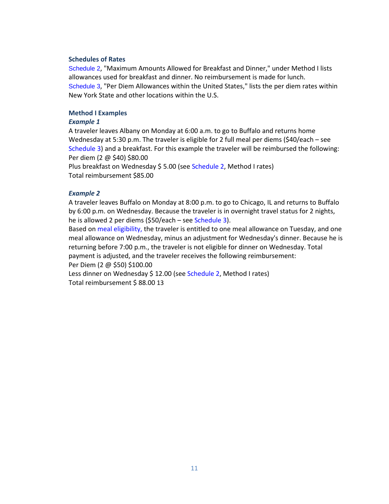#### **Schedules of Rates**

Schedule 2, "Maximum Amounts Allowed for Breakfast and Dinner," under Method I lists allowances used for breakfast and dinner. No reimbursement is made for lunch. Schedule 3, "Per Diem Allowances within the United States," lists the per diem rates within New York State and other locations within the U.S.

#### **Method I Examples**

#### *Example 1*

A traveler leaves Albany on Monday at 6:00 a.m. to go to Buffalo and returns home Wednesday at 5:30 p.m. The traveler is eligible for 2 full meal per diems (\$40/each – see Schedule 3) and a breakfast. For this example the traveler will be reimbursed the following: Per diem (2 @ \$40) \$80.00

Plus breakfast on Wednesday \$5.00 (see Schedule 2, Method I rates) Total reimbursement \$85.00

#### *Example 2*

A traveler leaves Buffalo on Monday at 8:00 p.m. to go to Chicago, IL and returns to Buffalo by 6:00 p.m. on Wednesday. Because the traveler is in overnight travel status for 2 nights, he is allowed 2 per diems (\$50/each – see Schedule 3).

Based on meal eligibility, the traveler is entitled to one meal allowance on Tuesday, and one meal allowance on Wednesday, minus an adjustment for Wednesday's dinner. Because he is returning before 7:00 p.m., the traveler is not eligible for dinner on Wednesday. Total payment is adjusted, and the traveler receives the following reimbursement: Per Diem (2 @ \$50) \$100.00

Less dinner on Wednesday \$ 12.00 (see Schedule 2, Method I rates) Total reimbursement \$ 88.00 13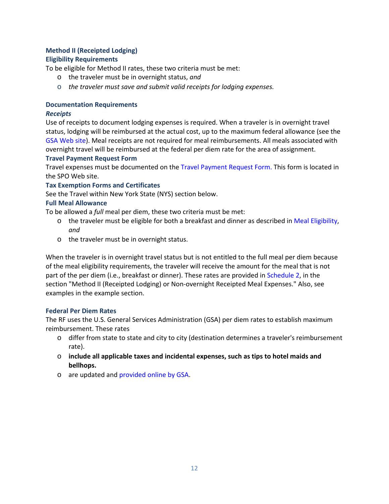# **Method II (Receipted Lodging) Eligibility Requirements**

To be eligible for Method II rates, these two criteria must be met:

- o the traveler must be in overnight status, *and*
- o *the traveler must save and submit valid receipts for lodging expenses.*

# **Documentation Requirements**

# *Receipts*

Use of receipts to document lodging expenses is required. When a traveler is in overnight travel status, lodging will be reimbursed at the actual cost, up to the maximum federal allowance (see the GSA Web site). Meal receipts are not required for meal reimbursements. All meals associated with overnight travel will be reimbursed at the federal per diem rate for the area of assignment.

# **Travel Payment Request Form**

Travel expenses must be documented on the Travel Payment Request Form. This form is located in the SPO Web site.

# **Tax Exemption Forms and Certificates**

See the Travel within New York State (NYS) section below.

# **Full Meal Allowance**

To be allowed a *full* meal per diem, these two criteria must be met:

- $\circ$  the traveler must be eligible for both a breakfast and dinner as described in Meal Eligibility, *and*
- o the traveler must be in overnight status.

When the traveler is in overnight travel status but is not entitled to the full meal per diem because of the meal eligibility requirements, the traveler will receive the amount for the meal that is not part of the per diem (i.e., breakfast or dinner). These rates are provided in Schedule 2, in the section "Method II (Receipted Lodging) or Non-overnight Receipted Meal Expenses." Also, see examples in the example section.

# **Federal Per Diem Rates**

The RF uses the U.S. General Services Administration (GSA) per diem rates to establish maximum reimbursement. These rates

- o differ from state to state and city to city (destination determines a traveler's reimbursement rate).
- o **include all applicable taxes and incidental expenses, such as tips to hotel maids and bellhops.**
- o are updated and provided online by GSA.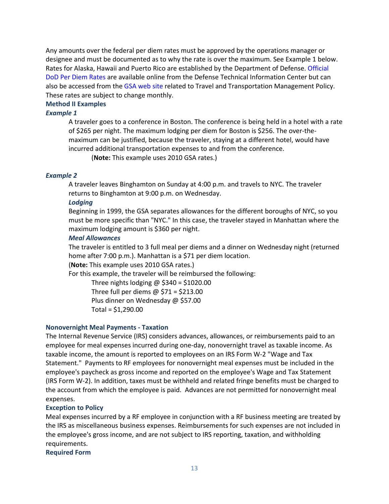Any amounts over the federal per diem rates must be approved by the operations manager or designee and must be documented as to why the rate is over the maximum. See Example 1 below. Rates for Alaska, Hawaii and Puerto Rico are established by the Department of Defense. Official DoD Per Diem Rates are available online from the Defense Technical Information Center but can also be accessed from the GSA web site related to Travel and Transportation Management Policy. These rates are subject to change monthly.

#### **Method II Examples**

#### *Example 1*

A traveler goes to a conference in Boston. The conference is being held in a hotel with a rate of \$265 per night. The maximum lodging per diem for Boston is \$256. The over-themaximum can be justified, because the traveler, staying at a different hotel, would have incurred additional transportation expenses to and from the conference.

(**Note:** This example uses 2010 GSA rates.)

#### *Example 2*

A traveler leaves Binghamton on Sunday at 4:00 p.m. and travels to NYC. The traveler returns to Binghamton at 9:00 p.m. on Wednesday.

#### *Lodging*

Beginning in 1999, the GSA separates allowances for the different boroughs of NYC, so you must be more specific than "NYC." In this case, the traveler stayed in Manhattan where the maximum lodging amount is \$360 per night.

#### *Meal Allowances*

The traveler is entitled to 3 full meal per diems and a dinner on Wednesday night (returned home after 7:00 p.m.). Manhattan is a \$71 per diem location.

(**Note:** This example uses 2010 GSA rates.)

For this example, the traveler will be reimbursed the following:

Three nights lodging  $\omega$  \$340 = \$1020.00 Three full per diems  $\omega$  \$71 = \$213.00

Plus dinner on Wednesday @ \$57.00

```
Total = $1,290.00
```
#### **Nonovernight Meal Payments - Taxation**

The Internal Revenue Service (IRS) considers advances, allowances, or reimbursements paid to an employee for meal expenses incurred during one-day, nonovernight travel as taxable income. As taxable income, the amount is reported to employees on an IRS Form W-2 "Wage and Tax Statement." Payments to RF employees for nonovernight meal expenses must be included in the employee's paycheck as gross income and reported on the employee's Wage and Tax Statement (IRS Form W-2). In addition, taxes must be withheld and related fringe benefits must be charged to the account from which the employee is paid. Advances are not permitted for nonovernight meal expenses.

#### **Exception to Policy**

Meal expenses incurred by a RF employee in conjunction with a RF business meeting are treated by the IRS as miscellaneous business expenses. Reimbursements for such expenses are not included in the employee's gross income, and are not subject to IRS reporting, taxation, and withholding requirements.

**Required Form**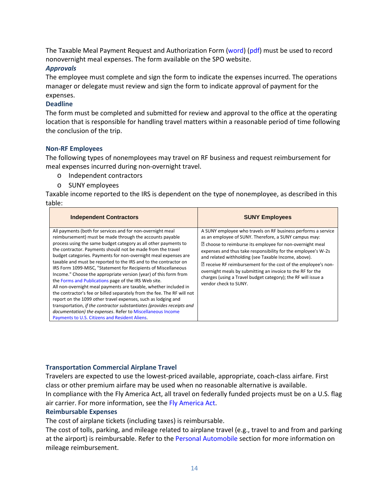The Taxable Meal Payment Request and Authorization Form (word) (pdf) must be used to record nonovernight meal expenses. The form available on the SPO website.

#### *Approvals*

The employee must complete and sign the form to indicate the expenses incurred. The operations manager or delegate must review and sign the form to indicate approval of payment for the expenses.

#### **Deadline**

The form must be completed and submitted for review and approval to the office at the operating location that is responsible for handling travel matters within a reasonable period of time following the conclusion of the trip.

#### **Non-RF Employees**

The following types of nonemployees may travel on RF business and request reimbursement for meal expenses incurred during non-overnight travel.

- o Independent contractors
- o SUNY employees

Taxable income reported to the IRS is dependent on the type of nonemployee, as described in this table:

| <b>Independent Contractors</b>                                                                                                                                                                                                                                                                                                                                                                                                                                                                                                                                                                                                                                                                                                                                                                                                                                                                                                                                                                          | <b>SUNY Employees</b>                                                                                                                                                                                                                                                                                                                                                                                                                                                                                                                             |
|---------------------------------------------------------------------------------------------------------------------------------------------------------------------------------------------------------------------------------------------------------------------------------------------------------------------------------------------------------------------------------------------------------------------------------------------------------------------------------------------------------------------------------------------------------------------------------------------------------------------------------------------------------------------------------------------------------------------------------------------------------------------------------------------------------------------------------------------------------------------------------------------------------------------------------------------------------------------------------------------------------|---------------------------------------------------------------------------------------------------------------------------------------------------------------------------------------------------------------------------------------------------------------------------------------------------------------------------------------------------------------------------------------------------------------------------------------------------------------------------------------------------------------------------------------------------|
| All payments (both for services and for non-overnight meal<br>reimbursement) must be made through the accounts payable<br>process using the same budget category as all other payments to<br>the contractor. Payments should not be made from the travel<br>budget categories. Payments for non-overnight meal expenses are<br>taxable and must be reported to the IRS and to the contractor on<br>IRS Form 1099-MISC, "Statement for Recipients of Miscellaneous<br>Income." Choose the appropriate version (year) of this form from<br>the Forms and Publications page of the IRS Web site.<br>All non-overnight meal payments are taxable, whether included in<br>the contractor's fee or billed separately from the fee. The RF will not<br>report on the 1099 other travel expenses, such as lodging and<br>transportation, if the contractor substantiates (provides receipts and<br>documentation) the expenses. Refer to Miscellaneous Income<br>Payments to U.S. Citizens and Resident Aliens. | A SUNY employee who travels on RF business performs a service<br>as an employee of SUNY. Therefore, a SUNY campus may:<br><sup>2</sup> choose to reimburse its employee for non-overnight meal<br>expenses and thus take responsibility for the employee's W-2s<br>and related withholding (see Taxable Income, above).<br>? receive RF reimbursement for the cost of the employee's non-<br>overnight meals by submitting an invoice to the RF for the<br>charges (using a Travel budget category); the RF will issue a<br>vendor check to SUNY. |

# **Transportation Commercial Airplane Travel**

Travelers are expected to use the lowest-priced available, appropriate, coach-class airfare. First class or other premium airfare may be used when no reasonable alternative is available. In compliance with the Fly America Act, all travel on federally funded projects must be on a U.S. flag air carrier. For more information, see the Fly America Act.

#### **Reimbursable Expenses**

The cost of airplane tickets (including taxes) is reimbursable.

The cost of tolls, parking, and mileage related to airplane travel (e.g., travel to and from and parking at the airport) is reimbursable. Refer to the Personal Automobile section for more information on mileage reimbursement.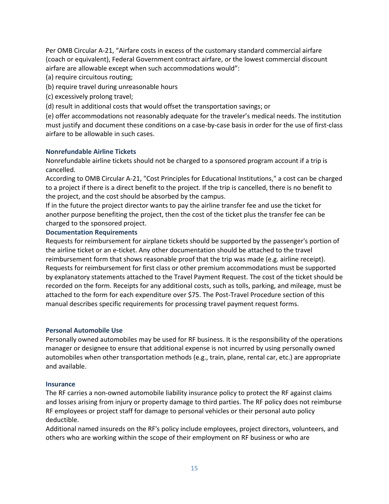Per OMB Circular A-21, "Airfare costs in excess of the customary standard commercial airfare (coach or equivalent), Federal Government contract airfare, or the lowest commercial discount airfare are allowable except when such accommodations would":

(a) require circuitous routing;

(b) require travel during unreasonable hours

(c) excessively prolong travel;

(d) result in additional costs that would offset the transportation savings; or

(e) offer accommodations not reasonably adequate for the traveler's medical needs. The institution must justify and document these conditions on a case-by-case basis in order for the use of first-class airfare to be allowable in such cases.

#### **Nonrefundable Airline Tickets**

Nonrefundable airline tickets should not be charged to a sponsored program account if a trip is cancelled.

According to OMB Circular A-21, "Cost Principles for Educational Institutions," a cost can be charged to a project if there is a direct benefit to the project. If the trip is cancelled, there is no benefit to the project, and the cost should be absorbed by the campus.

If in the future the project director wants to pay the airline transfer fee and use the ticket for another purpose benefiting the project, then the cost of the ticket plus the transfer fee can be charged to the sponsored project.

#### **Documentation Requirements**

Requests for reimbursement for airplane tickets should be supported by the passenger's portion of the airline ticket or an e-ticket. Any other documentation should be attached to the travel reimbursement form that shows reasonable proof that the trip was made (e.g. airline receipt). Requests for reimbursement for first class or other premium accommodations must be supported by explanatory statements attached to the Travel Payment Request. The cost of the ticket should be recorded on the form. Receipts for any additional costs, such as tolls, parking, and mileage, must be attached to the form for each expenditure over \$75. The Post-Travel Procedure section of this manual describes specific requirements for processing travel payment request forms.

#### **Personal Automobile Use**

Personally owned automobiles may be used for RF business. It is the responsibility of the operations manager or designee to ensure that additional expense is not incurred by using personally owned automobiles when other transportation methods (e.g., train, plane, rental car, etc.) are appropriate and available.

#### **Insurance**

The RF carries a non-owned automobile liability insurance policy to protect the RF against claims and losses arising from injury or property damage to third parties. The RF policy does not reimburse RF employees or project staff for damage to personal vehicles or their personal auto policy deductible.

Additional named insureds on the RF's policy include employees, project directors, volunteers, and others who are working within the scope of their employment on RF business or who are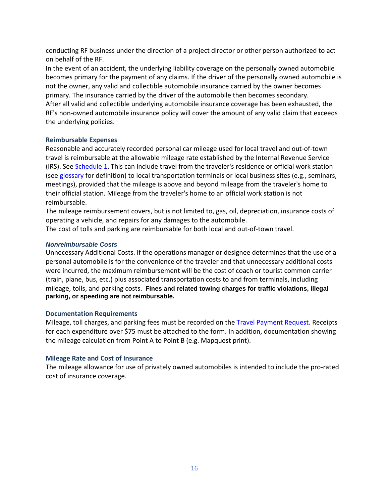conducting RF business under the direction of a project director or other person authorized to act on behalf of the RF.

In the event of an accident, the underlying liability coverage on the personally owned automobile becomes primary for the payment of any claims. If the driver of the personally owned automobile is not the owner, any valid and collectible automobile insurance carried by the owner becomes primary. The insurance carried by the driver of the automobile then becomes secondary. After all valid and collectible underlying automobile insurance coverage has been exhausted, the RF's non-owned automobile insurance policy will cover the amount of any valid claim that exceeds the underlying policies.

#### **Reimbursable Expenses**

Reasonable and accurately recorded personal car mileage used for local travel and out-of-town travel is reimbursable at the allowable mileage rate established by the Internal Revenue Service (IRS). See Schedule 1. This can include travel from the traveler's residence or official work station (see glossary for definition) to local transportation terminals or local business sites (e.g., seminars, meetings), provided that the mileage is above and beyond mileage from the traveler's home to their official station. Mileage from the traveler's home to an official work station is not reimbursable.

The mileage reimbursement covers, but is not limited to, gas, oil, depreciation, insurance costs of operating a vehicle, and repairs for any damages to the automobile.

The cost of tolls and parking are reimbursable for both local and out-of-town travel.

#### *Nonreimbursable Costs*

Unnecessary Additional Costs. If the operations manager or designee determines that the use of a personal automobile is for the convenience of the traveler and that unnecessary additional costs were incurred, the maximum reimbursement will be the cost of coach or tourist common carrier (train, plane, bus, etc.) plus associated transportation costs to and from terminals, including mileage, tolls, and parking costs. **Fines and related towing charges for traffic violations, illegal parking, or speeding are not reimbursable.**

#### **Documentation Requirements**

Mileage, toll charges, and parking fees must be recorded on the Travel Payment Request. Receipts for each expenditure over \$75 must be attached to the form. In addition, documentation showing the mileage calculation from Point A to Point B (e.g. Mapquest print).

#### **Mileage Rate and Cost of Insurance**

The mileage allowance for use of privately owned automobiles is intended to include the pro-rated cost of insurance coverage.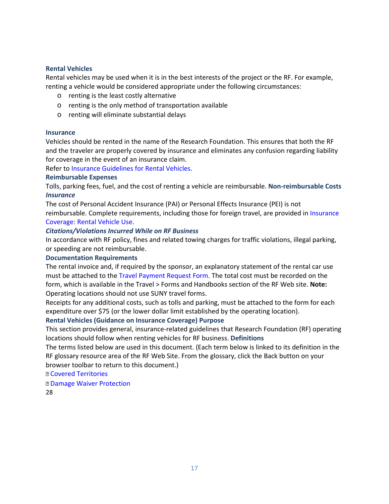#### **Rental Vehicles**

Rental vehicles may be used when it is in the best interests of the project or the RF. For example, renting a vehicle would be considered appropriate under the following circumstances:

- o renting is the least costly alternative
- o renting is the only method of transportation available
- o renting will eliminate substantial delays

#### **Insurance**

Vehicles should be rented in the name of the Research Foundation. This ensures that both the RF and the traveler are properly covered by insurance and eliminates any confusion regarding liability for coverage in the event of an insurance claim.

Refer to Insurance Guidelines for Rental Vehicles.

#### **Reimbursable Expenses**

Tolls, parking fees, fuel, and the cost of renting a vehicle are reimbursable. **Non-reimbursable Costs**  *Insurance* 

The cost of Personal Accident Insurance (PAI) or Personal Effects Insurance (PEI) is not reimbursable. Complete requirements, including those for foreign travel, are provided in Insurance Coverage: Rental Vehicle Use.

#### *Citations/Violations Incurred While on RF Business*

In accordance with RF policy, fines and related towing charges for traffic violations, illegal parking, or speeding are not reimbursable.

#### **Documentation Requirements**

The rental invoice and, if required by the sponsor, an explanatory statement of the rental car use must be attached to the Travel Payment Request Form. The total cost must be recorded on the form, which is available in the Travel > Forms and Handbooks section of the RF Web site. **Note:**  Operating locations should not use SUNY travel forms.

Receipts for any additional costs, such as tolls and parking, must be attached to the form for each expenditure over \$75 (or the lower dollar limit established by the operating location).

#### **Rental Vehicles (Guidance on Insurance Coverage) Purpose**

This section provides general, insurance-related guidelines that Research Foundation (RF) operating locations should follow when renting vehicles for RF business. **Definitions** 

The terms listed below are used in this document. (Each term below is linked to its definition in the RF glossary resource area of the RF Web Site. From the glossary, click the Back button on your browser toolbar to return to this document.)

#### Covered Territories

Damage Waiver Protection

28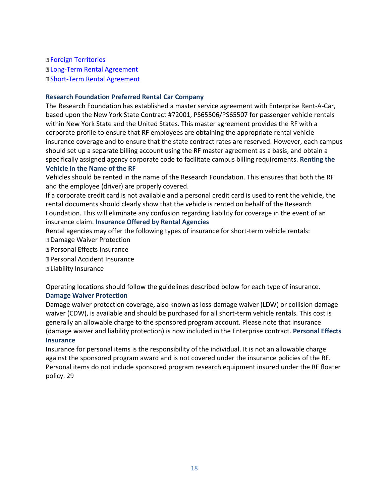**B Foreign Territories**  Long-Term Rental Agreement Short-Term Rental Agreement

#### **Research Foundation Preferred Rental Car Company**

The Research Foundation has established a master service agreement with Enterprise Rent-A-Car, based upon the New York State Contract #72001, PS65506/PS65507 for passenger vehicle rentals within New York State and the United States. This master agreement provides the RF with a corporate profile to ensure that RF employees are obtaining the appropriate rental vehicle insurance coverage and to ensure that the state contract rates are reserved. However, each campus should set up a separate billing account using the RF master agreement as a basis, and obtain a specifically assigned agency corporate code to facilitate campus billing requirements. **Renting the Vehicle in the Name of the RF** 

Vehicles should be rented in the name of the Research Foundation. This ensures that both the RF and the employee (driver) are properly covered.

If a corporate credit card is not available and a personal credit card is used to rent the vehicle, the rental documents should clearly show that the vehicle is rented on behalf of the Research Foundation. This will eliminate any confusion regarding liability for coverage in the event of an insurance claim. **Insurance Offered by Rental Agencies** 

Rental agencies may offer the following types of insurance for short-term vehicle rentals:

- Damage Waiver Protection
- Personal Effects Insurance
- Personal Accident Insurance
- Liability Insurance

Operating locations should follow the guidelines described below for each type of insurance.

#### **Damage Waiver Protection**

Damage waiver protection coverage, also known as loss-damage waiver (LDW) or collision damage waiver (CDW), is available and should be purchased for all short-term vehicle rentals. This cost is generally an allowable charge to the sponsored program account. Please note that insurance (damage waiver and liability protection) is now included in the Enterprise contract. **Personal Effects Insurance** 

Insurance for personal items is the responsibility of the individual. It is not an allowable charge against the sponsored program award and is not covered under the insurance policies of the RF. Personal items do not include sponsored program research equipment insured under the RF floater policy. 29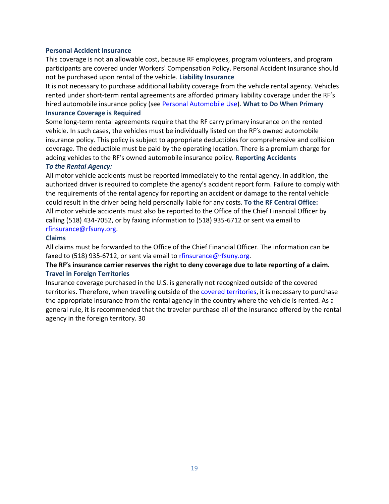#### **Personal Accident Insurance**

This coverage is not an allowable cost, because RF employees, program volunteers, and program participants are covered under Workers' Compensation Policy. Personal Accident Insurance should not be purchased upon rental of the vehicle. **Liability Insurance** 

It is not necessary to purchase additional liability coverage from the vehicle rental agency. Vehicles rented under short-term rental agreements are afforded primary liability coverage under the RF's hired automobile insurance policy (see Personal Automobile Use). **What to Do When Primary** 

#### **Insurance Coverage is Required**

Some long-term rental agreements require that the RF carry primary insurance on the rented vehicle. In such cases, the vehicles must be individually listed on the RF's owned automobile insurance policy. This policy is subject to appropriate deductibles for comprehensive and collision coverage. The deductible must be paid by the operating location. There is a premium charge for adding vehicles to the RF's owned automobile insurance policy. **Reporting Accidents** 

#### *To the Rental Agency:*

All motor vehicle accidents must be reported immediately to the rental agency. In addition, the authorized driver is required to complete the agency's accident report form. Failure to comply with the requirements of the rental agency for reporting an accident or damage to the rental vehicle could result in the driver being held personally liable for any costs. **To the RF Central Office:**  All motor vehicle accidents must also be reported to the Office of the Chief Financial Officer by calling (518) 434-7052, or by faxing information to (518) 935-6712 or sent via email to rfinsurance@rfsuny.org.

#### **Claims**

All claims must be forwarded to the Office of the Chief Financial Officer. The information can be faxed to (518) 935-6712, or sent via email to rfinsurance@rfsuny.org.

# **The RF's insurance carrier reserves the right to deny coverage due to late reporting of a claim. Travel in Foreign Territories**

Insurance coverage purchased in the U.S. is generally not recognized outside of the covered territories. Therefore, when traveling outside of the covered territories, it is necessary to purchase the appropriate insurance from the rental agency in the country where the vehicle is rented. As a general rule, it is recommended that the traveler purchase all of the insurance offered by the rental agency in the foreign territory. 30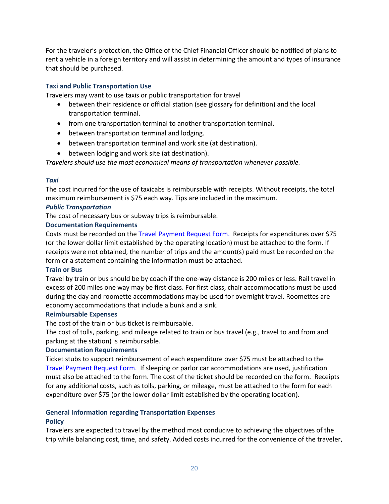For the traveler's protection, the Office of the Chief Financial Officer should be notified of plans to rent a vehicle in a foreign territory and will assist in determining the amount and types of insurance that should be purchased.

# **Taxi and Public Transportation Use**

Travelers may want to use taxis or public transportation for travel

- between their residence or official station (see glossary for definition) and the local transportation terminal.
- from one transportation terminal to another transportation terminal.
- between transportation terminal and lodging.
- between transportation terminal and work site (at destination).
- between lodging and work site (at destination).

*Travelers should use the most economical means of transportation whenever possible.* 

# *Taxi*

The cost incurred for the use of taxicabs is reimbursable with receipts. Without receipts, the total maximum reimbursement is \$75 each way. Tips are included in the maximum.

#### *Public Transportation*

The cost of necessary bus or subway trips is reimbursable.

# **Documentation Requirements**

Costs must be recorded on the Travel Payment Request Form. Receipts for expenditures over \$75 (or the lower dollar limit established by the operating location) must be attached to the form. If receipts were not obtained, the number of trips and the amount(s) paid must be recorded on the form or a statement containing the information must be attached.

#### **Train or Bus**

Travel by train or bus should be by coach if the one-way distance is 200 miles or less. Rail travel in excess of 200 miles one way may be first class. For first class, chair accommodations must be used during the day and roomette accommodations may be used for overnight travel. Roomettes are economy accommodations that include a bunk and a sink.

#### **Reimbursable Expenses**

The cost of the train or bus ticket is reimbursable.

The cost of tolls, parking, and mileage related to train or bus travel (e.g., travel to and from and parking at the station) is reimbursable.

#### **Documentation Requirements**

Ticket stubs to support reimbursement of each expenditure over \$75 must be attached to the Travel Payment Request Form. If sleeping or parlor car accommodations are used, justification must also be attached to the form. The cost of the ticket should be recorded on the form. Receipts for any additional costs, such as tolls, parking, or mileage, must be attached to the form for each expenditure over \$75 (or the lower dollar limit established by the operating location).

# **General Information regarding Transportation Expenses**

# **Policy**

Travelers are expected to travel by the method most conducive to achieving the objectives of the trip while balancing cost, time, and safety. Added costs incurred for the convenience of the traveler,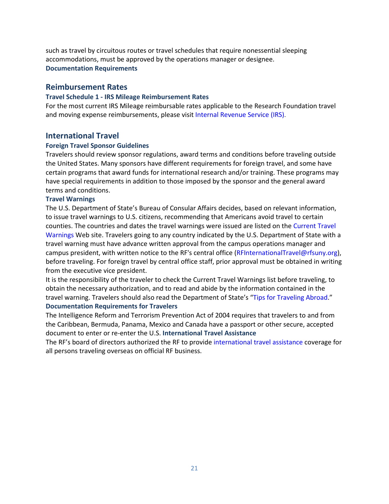such as travel by circuitous routes or travel schedules that require nonessential sleeping accommodations, must be approved by the operations manager or designee. **Documentation Requirements** 

#### **Reimbursement Rates**

#### **Travel Schedule 1 - IRS Mileage Reimbursement Rates**

For the most current IRS Mileage reimbursable rates applicable to the Research Foundation travel and moving expense reimbursements, please visit Internal Revenue Service (IRS).

#### **International Travel**

#### **Foreign Travel Sponsor Guidelines**

Travelers should review sponsor regulations, award terms and conditions before traveling outside the United States. Many sponsors have different requirements for foreign travel, and some have certain programs that award funds for international research and/or training. These programs may have special requirements in addition to those imposed by the sponsor and the general award terms and conditions.

#### **Travel Warnings**

The U.S. Department of State's Bureau of Consular Affairs decides, based on relevant information, to issue travel warnings to U.S. citizens, recommending that Americans avoid travel to certain counties. The countries and dates the travel warnings were issued are listed on the Current Travel Warnings Web site. Travelers going to any country indicated by the U.S. Department of State with a travel warning must have advance written approval from the campus operations manager and campus president, with written notice to the RF's central office (RFInternationalTravel@rfsuny.org), before traveling. For foreign travel by central office staff, prior approval must be obtained in writing from the executive vice president.

It is the responsibility of the traveler to check the Current Travel Warnings list before traveling, to obtain the necessary authorization, and to read and abide by the information contained in the travel warning. Travelers should also read the Department of State's "Tips for Traveling Abroad." **Documentation Requirements for Travelers** 

The Intelligence Reform and Terrorism Prevention Act of 2004 requires that travelers to and from the Caribbean, Bermuda, Panama, Mexico and Canada have a passport or other secure, accepted document to enter or re-enter the U.S. **International Travel Assistance** 

The RF's board of directors authorized the RF to provide international travel assistance coverage for all persons traveling overseas on official RF business.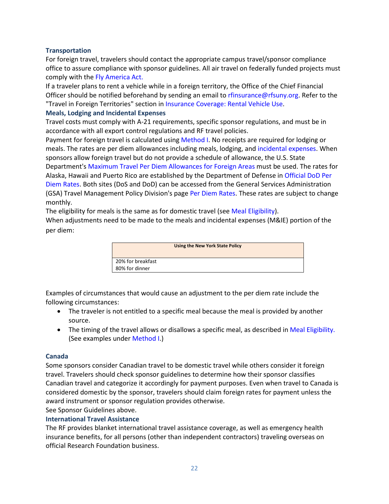# **Transportation**

For foreign travel, travelers should contact the appropriate campus travel/sponsor compliance office to assure compliance with sponsor guidelines. All air travel on federally funded projects must comply with the Fly America Act.

If a traveler plans to rent a vehicle while in a foreign territory, the Office of the Chief Financial Officer should be notified beforehand by sending an email to rfinsurance@rfsuny.org. Refer to the "Travel in Foreign Territories" section in Insurance Coverage: Rental Vehicle Use.

#### **Meals, Lodging and Incidental Expenses**

Travel costs must comply with A-21 requirements, specific sponsor regulations, and must be in accordance with all export control regulations and RF travel policies.

Payment for foreign travel is calculated using Method I. No receipts are required for lodging or meals. The rates are per diem allowances including meals, lodging, and incidental expenses. When sponsors allow foreign travel but do not provide a schedule of allowance, the U.S. State Department's Maximum Travel Per Diem Allowances for Foreign Areas must be used. The rates for Alaska, Hawaii and Puerto Rico are established by the Department of Defense in Official DoD Per Diem Rates. Both sites (DoS and DoD) can be accessed from the General Services Administration (GSA) Travel Management Policy Division's page Per Diem Rates. These rates are subject to change monthly.

The eligibility for meals is the same as for domestic travel (see Meal Eligibility).

When adjustments need to be made to the meals and incidental expenses (M&IE) portion of the per diem:



Examples of circumstances that would cause an adjustment to the per diem rate include the following circumstances:

- The traveler is not entitled to a specific meal because the meal is provided by another source.
- The timing of the travel allows or disallows a specific meal, as described in Meal Eligibility. (See examples under Method I.)

# **Canada**

Some sponsors consider Canadian travel to be domestic travel while others consider it foreign travel. Travelers should check sponsor guidelines to determine how their sponsor classifies Canadian travel and categorize it accordingly for payment purposes. Even when travel to Canada is considered domestic by the sponsor, travelers should claim foreign rates for payment unless the award instrument or sponsor regulation provides otherwise.

See Sponsor Guidelines above.

#### **International Travel Assistance**

The RF provides blanket international travel assistance coverage, as well as emergency health insurance benefits, for all persons (other than independent contractors) traveling overseas on official Research Foundation business.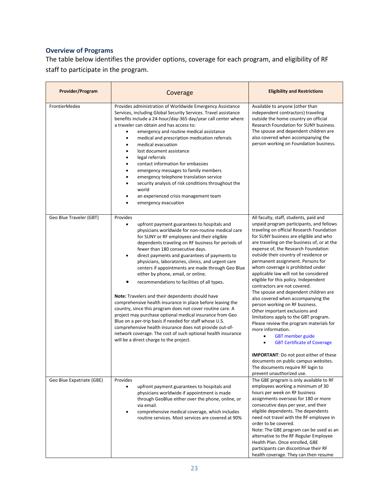# **Overview of Programs**

The table below identifies the provider options, coverage for each program, and eligibility of RF staff to participate in the program.

| Provider/Program          | Coverage                                                                                                                                                                                                                                                                                                                                                                                                                                                                                                                                                                                                                                                                                                                                                                                                                                                                                                                                                                                                             | <b>Eligibility and Restrictions</b>                                                                                                                                                                                                                                                                                                                                                                                                                                                                                                                                                                                                                                                                                                                                                                                                                                                             |
|---------------------------|----------------------------------------------------------------------------------------------------------------------------------------------------------------------------------------------------------------------------------------------------------------------------------------------------------------------------------------------------------------------------------------------------------------------------------------------------------------------------------------------------------------------------------------------------------------------------------------------------------------------------------------------------------------------------------------------------------------------------------------------------------------------------------------------------------------------------------------------------------------------------------------------------------------------------------------------------------------------------------------------------------------------|-------------------------------------------------------------------------------------------------------------------------------------------------------------------------------------------------------------------------------------------------------------------------------------------------------------------------------------------------------------------------------------------------------------------------------------------------------------------------------------------------------------------------------------------------------------------------------------------------------------------------------------------------------------------------------------------------------------------------------------------------------------------------------------------------------------------------------------------------------------------------------------------------|
| <b>FrontierMedex</b>      | Provides administration of Worldwide Emergency Assistance<br>Services, including Global Security Services. Travel assistance<br>benefits include a 24-hour/day-365 day/year call center where<br>a traveler can obtain and has access to:<br>emergency and routine medical assistance<br>medical and prescription medication referrals<br>٠<br>medical evacuation<br>lost document assistance<br>legal referrals<br>٠<br>contact information for embassies<br>$\bullet$<br>emergency messages to family members<br>emergency telephone translation service<br>security analysis of risk conditions throughout the<br>world<br>an experienced crisis management team<br>emergency evacuation                                                                                                                                                                                                                                                                                                                          | Available to anyone (other than<br>independent contractors) traveling<br>outside the home country on official<br>Research Foundation for SUNY business.<br>The spouse and dependent children are<br>also covered when accompanying the<br>person working on Foundation business.                                                                                                                                                                                                                                                                                                                                                                                                                                                                                                                                                                                                                |
| Geo Blue Traveler (GBT)   | Provides<br>upfront payment guarantees to hospitals and<br>$\bullet$<br>physicians worldwide for non-routine medical care<br>for SUNY or RF employees and their eligible<br>dependents traveling on RF business for periods of<br>fewer than 180 consecutive days.<br>direct payments and guarantees of payments to<br>$\bullet$<br>physicians, laboratories, clinics, and urgent care<br>centers if appointments are made through Geo Blue<br>either by phone, email, or online.<br>recommendations to facilities of all types.<br><b>Note:</b> Travelers and their dependents should have<br>comprehensive health insurance in place before leaving the<br>country, since this program does not cover routine care. A<br>project may purchase optional medical insurance from Geo<br>Blue on a per-trip basis if needed for staff whose U.S.<br>comprehensive health insurance does not provide out-of-<br>network coverage. The cost of such optional health insurance<br>will be a direct charge to the project. | All faculty, staff, students, paid and<br>unpaid program participants, and fellows<br>traveling on official Research Foundation<br>for SUNY business are eligible and who<br>are traveling on the business of, or at the<br>expense of, the Research Foundation<br>outside their country of residence or<br>permanent assignment. Persons for<br>whom coverage is prohibited under<br>applicable law will not be considered<br>eligible for this policy. Independent<br>contractors are not covered.<br>The spouse and dependent children are<br>also covered when accompanying the<br>person working on RF business.<br>Other important exclusions and<br>limitations apply to the GBT program.<br>Please review the program materials for<br>more information.<br><b>GBT</b> member guide<br>$\bullet$<br><b>GBT Certificate of Coverage</b><br><b>IMPORTANT:</b> Do not post either of these |
|                           |                                                                                                                                                                                                                                                                                                                                                                                                                                                                                                                                                                                                                                                                                                                                                                                                                                                                                                                                                                                                                      | documents on public campus websites.<br>The documents require RF login to<br>prevent unauthorized use.                                                                                                                                                                                                                                                                                                                                                                                                                                                                                                                                                                                                                                                                                                                                                                                          |
| Geo Blue Expatriate (GBE) | Provides<br>upfront payment guarantees to hospitals and<br>$\bullet$<br>physicians worldwide if appointment is made<br>through GeoBlue either over the phone, online, or<br>via email.<br>comprehensive medical coverage, which includes<br>$\bullet$<br>routine services. Most services are covered at 90%                                                                                                                                                                                                                                                                                                                                                                                                                                                                                                                                                                                                                                                                                                          | The GBE program is only available to RF<br>employees working a minimum of 30<br>hours per week on RF business<br>assignments overseas for 180 or more<br>consecutive days per year, and their<br>eligible dependents. The dependents<br>need not travel with the RF employee in<br>order to be covered.<br>Note: The GBE program can be used as an<br>alternative to the RF Regular Employee<br>Health Plan. Once enrolled, GBE<br>participants can discontinue their RF<br>health coverage. They can then resume                                                                                                                                                                                                                                                                                                                                                                               |